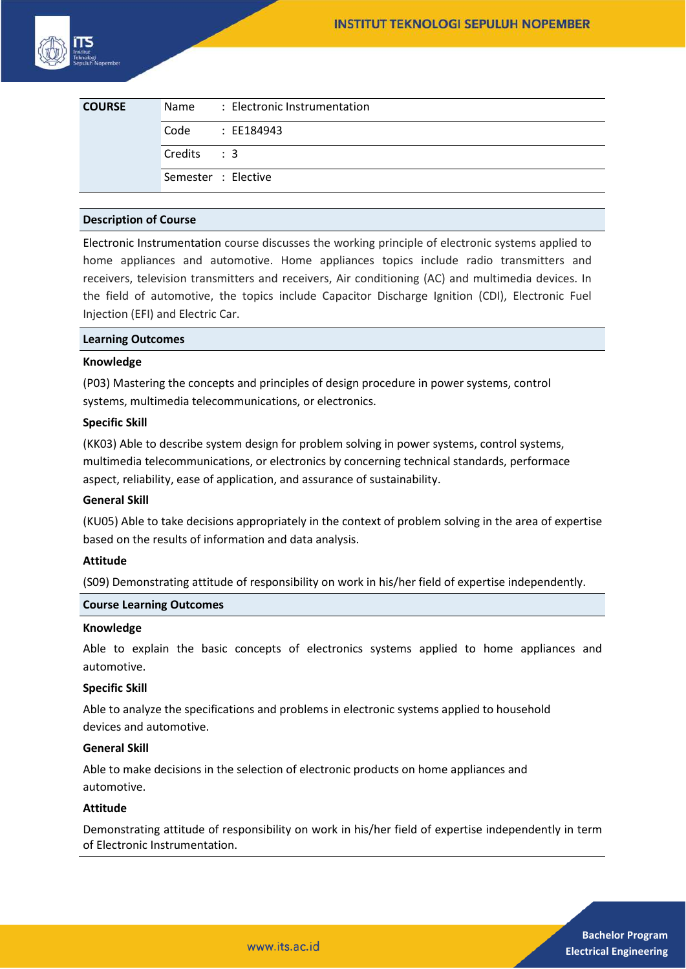| <b>COURSE</b> |                     | Name: Electronic Instrumentation |
|---------------|---------------------|----------------------------------|
|               | Code                | : EE184943                       |
|               | $Credits$ : 3       |                                  |
|               | Semester : Elective |                                  |

# **Description of Course**

Electronic Instrumentation course discusses the working principle of electronic systems applied to home appliances and automotive. Home appliances topics include radio transmitters and receivers, television transmitters and receivers, Air conditioning (AC) and multimedia devices. In the field of automotive, the topics include Capacitor Discharge Ignition (CDI), Electronic Fuel Injection (EFI) and Electric Car.

#### **Learning Outcomes**

#### **Knowledge**

(P03) Mastering the concepts and principles of design procedure in power systems, control systems, multimedia telecommunications, or electronics.

## **Specific Skill**

(KK03) Able to describe system design for problem solving in power systems, control systems, multimedia telecommunications, or electronics by concerning technical standards, performace aspect, reliability, ease of application, and assurance of sustainability.

# **General Skill**

(KU05) Able to take decisions appropriately in the context of problem solving in the area of expertise based on the results of information and data analysis.

#### **Attitude**

(S09) Demonstrating attitude of responsibility on work in his/her field of expertise independently.

# **Course Learning Outcomes**

#### **Knowledge**

Able to explain the basic concepts of electronics systems applied to home appliances and automotive.

#### **Specific Skill**

Able to analyze the specifications and problems in electronic systems applied to household devices and automotive.

### **General Skill**

Able to make decisions in the selection of electronic products on home appliances and automotive.

#### **Attitude**

Demonstrating attitude of responsibility on work in his/her field of expertise independently in term of Electronic Instrumentation.